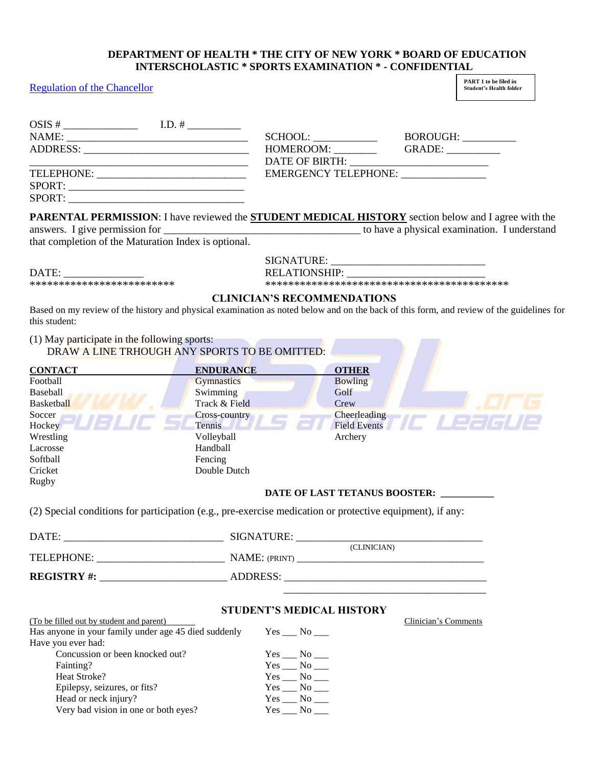#### **DEPARTMENT OF HEALTH \* THE CITY OF NEW YORK \* BOARD OF EDUCATION INTERSCHOLASTIC \* SPORTS EXAMINATION \* - CONFIDENTIAL**

#### [Regulation of the Chancellor](http://docs.nycenet.edu/docushare/dsweb/Get/Document-313/A-701%20%206-19-08%20%20Formatted.pdf)

**PART 1 to be filed in Student's Health folder**

|                                                                                                           |                                               |                     | BOROUGH:                                                                                                   |
|-----------------------------------------------------------------------------------------------------------|-----------------------------------------------|---------------------|------------------------------------------------------------------------------------------------------------|
|                                                                                                           |                                               | HOMEROOM: ________  | GRADE:                                                                                                     |
|                                                                                                           |                                               |                     |                                                                                                            |
|                                                                                                           |                                               |                     | <b>EMERGENCY TELEPHONE:</b>                                                                                |
|                                                                                                           |                                               |                     |                                                                                                            |
|                                                                                                           |                                               |                     |                                                                                                            |
|                                                                                                           |                                               |                     | PARENTAL PERMISSION: I have reviewed the <b>STUDENT MEDICAL HISTORY</b> section below and I agree with the |
|                                                                                                           |                                               |                     |                                                                                                            |
| that completion of the Maturation Index is optional.                                                      |                                               |                     |                                                                                                            |
|                                                                                                           |                                               |                     |                                                                                                            |
|                                                                                                           |                                               | RELATIONSHIP:       |                                                                                                            |
| *************************                                                                                 |                                               |                     |                                                                                                            |
| (1) May participate in the following sports:                                                              | DRAW A LINE TRHOUGH ANY SPORTS TO BE OMITTED: |                     |                                                                                                            |
| <b>CONTACT</b>                                                                                            | <b>ENDURANCE</b>                              | <b>OTHER</b>        |                                                                                                            |
| Football                                                                                                  | <b>Gymnastics</b>                             | <b>Bowling</b>      |                                                                                                            |
| Baseball                                                                                                  | Swimming                                      | Golf                |                                                                                                            |
| <b>Basketball</b>                                                                                         | Track & Field                                 | Crew                |                                                                                                            |
| Soccer                                                                                                    | Cross-country                                 | Cheerleading        |                                                                                                            |
| Hockey                                                                                                    | Tennis                                        | <b>Field Events</b> |                                                                                                            |
| Wrestling                                                                                                 | Volleyball                                    | Archery             |                                                                                                            |
| Lacrosse                                                                                                  | Handball                                      |                     |                                                                                                            |
| Softball<br>Cricket                                                                                       | Fencing<br>Double Dutch                       |                     |                                                                                                            |
|                                                                                                           |                                               |                     |                                                                                                            |
|                                                                                                           |                                               |                     |                                                                                                            |
| Rugby                                                                                                     |                                               |                     | DATE OF LAST TETANUS BOOSTER:                                                                              |
| (2) Special conditions for participation (e.g., pre-exercise medication or protective equipment), if any: |                                               |                     |                                                                                                            |

|                    | (CLINICIAN)   |  |
|--------------------|---------------|--|
| TELEPHONE:         | NAME: (PRINT) |  |
| <b>REGISTRY #:</b> | ADDRESS:      |  |
|                    |               |  |

### **STUDENT'S MEDICAL HISTORY**

|                   | Clinician's Comments |
|-------------------|----------------------|
| Yes No            |                      |
|                   |                      |
| Yes No            |                      |
| $Yes \_\_No \_\_$ |                      |
| Yes No            |                      |
| $Yes \_\_No \_\_$ |                      |
| $Yes \_\_No \_\_$ |                      |
| $Yes \_\_No \_\_$ |                      |
|                   |                      |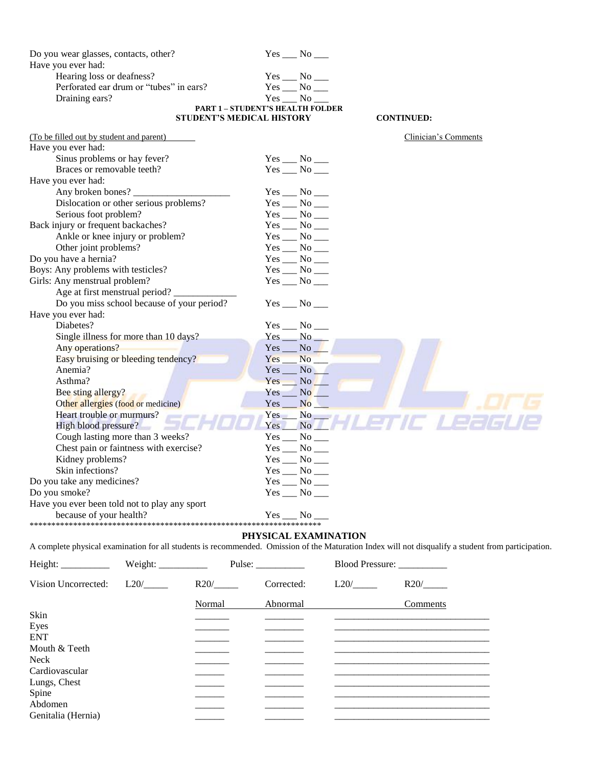| Do you wear glasses, contacts, other?         | $Yes \_\_No \_\_$                       |                      |
|-----------------------------------------------|-----------------------------------------|----------------------|
| Have you ever had:                            |                                         |                      |
| Hearing loss or deafness?                     | $Yes \_\_No \_\_$                       |                      |
| Perforated ear drum or "tubes" in ears?       | $Yes \_\_No \_\_$                       |                      |
| Draining ears?                                | Yes No                                  |                      |
|                                               | <b>PART 1 - STUDENT'S HEALTH FOLDER</b> |                      |
|                                               | <b>STUDENT'S MEDICAL HISTORY</b>        | <b>CONTINUED:</b>    |
| (To be filled out by student and parent)      |                                         | Clinician's Comments |
| Have you ever had:                            |                                         |                      |
| Sinus problems or hay fever?                  | $Yes \_\_ No \_\_$                      |                      |
| Braces or removable teeth?                    | $Yes$ __ No __                          |                      |
| Have you ever had:                            |                                         |                      |
| Any broken bones?                             | $Yes$ No _______                        |                      |
| Dislocation or other serious problems?        | $Yes$ $No$ $\_\_$                       |                      |
| Serious foot problem?                         | $Yes$ No ______                         |                      |
| Back injury or frequent backaches?            | $Yes$ __ No __                          |                      |
| Ankle or knee injury or problem?              | $Yes$ __ No __                          |                      |
| Other joint problems?                         | $Yes$ No $\_\_$                         |                      |
| Do you have a hernia?                         | $Yes$ __ No __                          |                      |
| Boys: Any problems with testicles?            | $Yes$ __ No __                          |                      |
| Girls: Any menstrual problem?                 | $Yes \_\_No \_\_$                       |                      |
| Age at first menstrual period?                |                                         |                      |
| Do you miss school because of your period?    | $Yes$ No $\_\_$                         |                      |
| Have you ever had:                            |                                         |                      |
| Diabetes?                                     | $Yes \_\_No \_\_$                       |                      |
| Single illness for more than 10 days?         | $Yes \_\_No \_\_$                       |                      |
| Any operations?                               | No<br>$Yes$ <sub>__</sub>               |                      |
| Easy bruising or bleeding tendency?           | $No$ <sub>___</sub><br>Yes_             |                      |
| Anemia?                                       | No                                      |                      |
| Asthma?                                       | Yes No                                  |                      |
| Bee sting allergy?                            | $Yes$ <sub>__</sub><br>N <sub>o</sub>   |                      |
| Other allergies (food or medicine)            | No<br>Yes                               |                      |
| Heart trouble or murmurs?                     | $Yes$ No $\blacksquare$                 |                      |
| High blood pressure?                          | Yes<br>No No                            | 7E 1                 |
| Cough lasting more than 3 weeks?              | $Yes$ __ No __                          |                      |
| Chest pain or faintness with exercise?        | $Yes \_\_No \_\_$                       |                      |
| Kidney problems?                              | $Yes \_\_No \_\_$                       |                      |
| Skin infections?                              | $Yes \_\_No \_\_$                       |                      |
| Do you take any medicines?                    | $Yes \_\_No \_\_$                       |                      |
| Do you smoke?                                 | $Yes \_\_No \_\_$                       |                      |
| Have you ever been told not to play any sport |                                         |                      |
| because of your health?                       | $Yes \_\_No$                            |                      |
|                                               |                                         |                      |

#### **PHYSICAL EXAMINATION**

A complete physical examination for all students is recommended. Omission of the Maturation Index will not disqualify a student from participation.

| Height: Weight:     |      |        | Pulse: $\frac{2}{\sqrt{2}}$ | Blood Pressure: ___________ |          |
|---------------------|------|--------|-----------------------------|-----------------------------|----------|
| Vision Uncorrected: | L20/ | R20/   | Corrected:                  | L20/                        | R20/     |
|                     |      | Normal | Abnormal                    |                             | Comments |
| Skin                |      |        |                             |                             |          |
| Eyes                |      |        |                             |                             |          |
| <b>ENT</b>          |      |        |                             |                             |          |
| Mouth $&$ Teeth     |      |        |                             |                             |          |
| Neck                |      |        |                             |                             |          |
| Cardiovascular      |      |        |                             |                             |          |
| Lungs, Chest        |      |        |                             |                             |          |
| Spine               |      |        |                             |                             |          |
| Abdomen             |      |        |                             |                             |          |
| Genitalia (Hernia)  |      |        |                             |                             |          |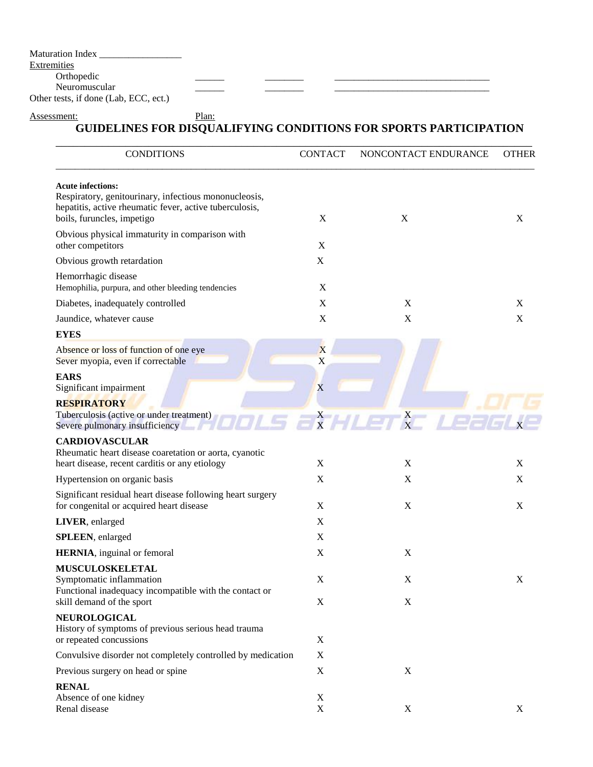Maturation Index \_\_\_\_\_\_\_\_\_\_\_\_\_\_\_\_\_

#### **Extremities**

Orthopedic \_\_\_\_\_\_ \_\_\_\_\_\_\_\_ \_\_\_\_\_\_\_\_\_\_\_\_\_\_\_\_\_\_\_\_\_\_\_\_\_\_\_\_\_\_\_\_

Neuromuscular Other tests, if done (Lab, ECC, ect.)

#### Assessment: Plan: **GUIDELINES FOR DISQUALIFYING CONDITIONS FOR SPORTS PARTICIPATION**

| <b>CONDITIONS</b>                                                                                                                                                          | <b>CONTACT</b>            | NONCONTACT ENDURANCE | <b>OTHER</b> |
|----------------------------------------------------------------------------------------------------------------------------------------------------------------------------|---------------------------|----------------------|--------------|
| <b>Acute infections:</b><br>Respiratory, genitourinary, infectious mononucleosis,<br>hepatitis, active rheumatic fever, active tuberculosis,<br>boils, furuncles, impetigo | $\mathbf X$               | X                    | X            |
| Obvious physical immaturity in comparison with<br>other competitors                                                                                                        | $\mathbf X$               |                      |              |
| Obvious growth retardation                                                                                                                                                 | X                         |                      |              |
| Hemorrhagic disease<br>Hemophilia, purpura, and other bleeding tendencies                                                                                                  | $\boldsymbol{\mathrm{X}}$ |                      |              |
| Diabetes, inadequately controlled                                                                                                                                          | X                         | X                    | X            |
| Jaundice, whatever cause                                                                                                                                                   | $\mathbf X$               | $\mathbf X$          | X            |
| <b>EYES</b>                                                                                                                                                                |                           |                      |              |
| Absence or loss of function of one eye<br>Sever myopia, even if correctable                                                                                                | X<br>X                    |                      |              |
| <b>EARS</b><br>Significant impairment                                                                                                                                      | X                         |                      |              |
| <b>RESPIRATORY</b><br>Tuberculosis (active or under treatment)<br>Severe pulmonary insufficiency                                                                           |                           | $X^2 + I = X^2$      |              |
| <b>CARDIOVASCULAR</b><br>Rheumatic heart disease coaretation or aorta, cyanotic<br>heart disease, recent carditis or any etiology                                          | X                         | X                    | X            |
| Hypertension on organic basis                                                                                                                                              | X                         | X                    | X            |
| Significant residual heart disease following heart surgery<br>for congenital or acquired heart disease                                                                     | X                         | $\mathbf X$          | X            |
| LIVER, enlarged                                                                                                                                                            | X                         |                      |              |
| SPLEEN, enlarged                                                                                                                                                           | $\mathbf X$               |                      |              |
| <b>HERNIA</b> , inguinal or femoral                                                                                                                                        | X                         | X                    |              |
| <b>MUSCULOSKELETAL</b>                                                                                                                                                     |                           |                      |              |
| Symptomatic inflammation<br>Functional inadequacy incompatible with the contact or                                                                                         | X                         | X                    | X            |
| skill demand of the sport                                                                                                                                                  | X                         | $\mathbf X$          |              |
| <b>NEUROLOGICAL</b><br>History of symptoms of previous serious head trauma<br>or repeated concussions                                                                      | X                         |                      |              |
|                                                                                                                                                                            | X                         |                      |              |
| Convulsive disorder not completely controlled by medication                                                                                                                | $\mathbf X$               | $\mathbf X$          |              |
| Previous surgery on head or spine                                                                                                                                          |                           |                      |              |
| <b>RENAL</b><br>Absence of one kidney<br>Renal disease                                                                                                                     | X<br>X                    | X                    | X            |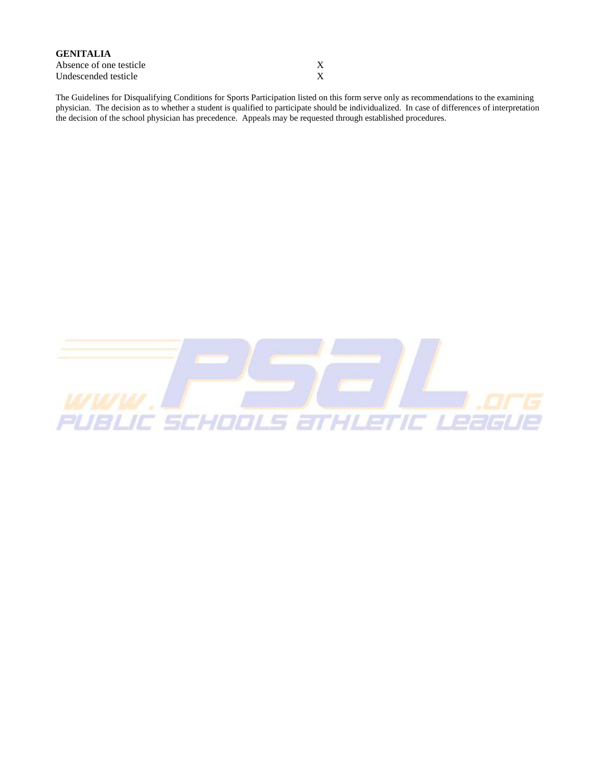| <b>GENITALIA</b>        |  |
|-------------------------|--|
| Absence of one testicle |  |
| Undescended testicle    |  |

The Guidelines for Disqualifying Conditions for Sports Participation listed on this form serve only as recommendations to the examining physician. The decision as to whether a student is qualified to participate should be individualized. In case of differences of interpretation the decision of the school physician has precedence. Appeals may be requested through established procedures.